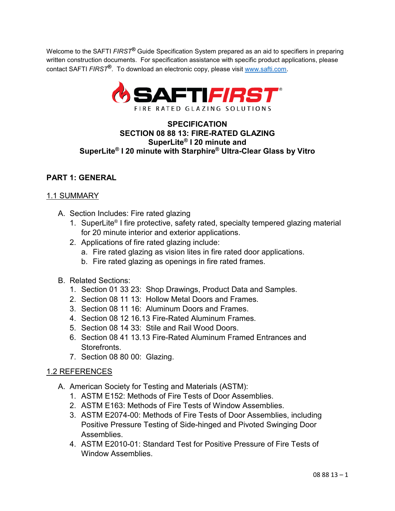Welcome to the SAFTI *FIRST***®** Guide Specification System prepared as an aid to specifiers in preparing written construction documents. For specification assistance with specific product applications, please contact SAFTI *FIRST***®**. To download an electronic copy, please visit [www.safti.com.](http://www.safti.com/)



# **SPECIFICATION SECTION 08 88 13: FIRE-RATED GLAZING SuperLite® I 20 minute and SuperLite® I 20 minute with Starphire® Ultra-Clear Glass by Vitro**

# **PART 1: GENERAL**

#### 1.1 SUMMARY

- A. Section Includes: Fire rated glazing
	- 1. SuperLite® I fire protective, safety rated, specialty tempered glazing material for 20 minute interior and exterior applications.
	- 2. Applications of fire rated glazing include:
		- a. Fire rated glazing as vision lites in fire rated door applications.
		- b. Fire rated glazing as openings in fire rated frames.
- B. Related Sections:
	- 1. Section 01 33 23: Shop Drawings, Product Data and Samples.
	- 2. Section 08 11 13: Hollow Metal Doors and Frames.
	- 3. Section 08 11 16: Aluminum Doors and Frames.
	- 4. Section 08 12 16.13 Fire-Rated Aluminum Frames.
	- 5. Section 08 14 33: Stile and Rail Wood Doors.
	- 6. Section 08 41 13.13 Fire-Rated Aluminum Framed Entrances and Storefronts.
	- 7. Section 08 80 00: Glazing.

#### 1.2 REFERENCES

- A. American Society for Testing and Materials (ASTM):
	- 1. ASTM E152: Methods of Fire Tests of Door Assemblies.
	- 2. ASTM E163: Methods of Fire Tests of Window Assemblies.
	- 3. ASTM E2074-00: Methods of Fire Tests of Door Assemblies, including Positive Pressure Testing of Side-hinged and Pivoted Swinging Door Assemblies.
	- 4. ASTM E2010-01: Standard Test for Positive Pressure of Fire Tests of Window Assemblies.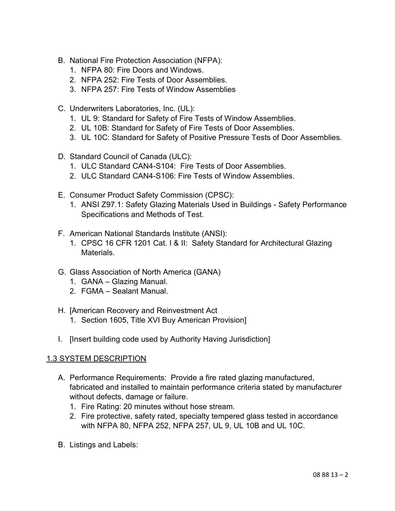- B. National Fire Protection Association (NFPA):
	- 1. NFPA 80: Fire Doors and Windows.
	- 2. NFPA 252: Fire Tests of Door Assemblies.
	- 3. NFPA 257: Fire Tests of Window Assemblies
- C. Underwriters Laboratories, Inc. (UL):
	- 1. UL 9: Standard for Safety of Fire Tests of Window Assemblies.
	- 2. UL 10B: Standard for Safety of Fire Tests of Door Assemblies.
	- 3. UL 10C: Standard for Safety of Positive Pressure Tests of Door Assemblies.
- D. Standard Council of Canada (ULC):
	- 1. ULC Standard CAN4-S104: Fire Tests of Door Assemblies.
	- 2. ULC Standard CAN4-S106: Fire Tests of Window Assemblies.
- E. Consumer Product Safety Commission (CPSC):
	- 1. ANSI Z97.1: Safety Glazing Materials Used in Buildings Safety Performance Specifications and Methods of Test.
- F. American National Standards Institute (ANSI):
	- 1. CPSC 16 CFR 1201 Cat. I & II: Safety Standard for Architectural Glazing Materials.
- G. Glass Association of North America (GANA)
	- 1. GANA Glazing Manual.
	- 2. FGMA Sealant Manual.
- H. [American Recovery and Reinvestment Act
	- 1. Section 1605, Title XVI Buy American Provision]
- I. [Insert building code used by Authority Having Jurisdiction]

# 1.3 SYSTEM DESCRIPTION

- A. Performance Requirements: Provide a fire rated glazing manufactured, fabricated and installed to maintain performance criteria stated by manufacturer without defects, damage or failure.
	- 1. Fire Rating: 20 minutes without hose stream.
	- 2. Fire protective, safety rated, specialty tempered glass tested in accordance with NFPA 80, NFPA 252, NFPA 257, UL 9, UL 10B and UL 10C.
- B. Listings and Labels: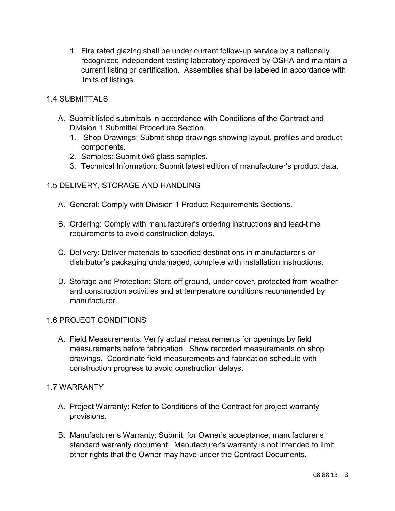1. Fire rated glazing shall be under current follow-up service by a nationally recognized independent testing laboratory approved by OSHA and maintain a current listing or certification. Assemblies shall be labeled in accordance with limits of listings.

# 1.4 SUBMITTALS

- A. Submit listed submittals in accordance with Conditions of the Contract and Division 1 Submittal Procedure Section.
	- 1. Shop Drawings: Submit shop drawings showing layout, profiles and product components.
	- 2. Samples: Submit 6x6 glass samples.
	- 3. Technical Information: Submit latest edition of manufacturer's product data.

# 1.5 DELIVERY, STORAGE AND HANDLING

- A. General: Comply with Division 1 Product Requirements Sections.
- B. Ordering: Comply with manufacturer's ordering instructions and lead-time requirements to avoid construction delays.
- C. Delivery: Deliver materials to specified destinations in manufacturer's or distributor's packaging undamaged, complete with installation instructions.
- D. Storage and Protection: Store off ground, under cover, protected from weather and construction activities and at temperature conditions recommended by manufacturer.

# 1.6 PROJECT CONDITIONS

A. Field Measurements: Verify actual measurements for openings by field measurements before fabrication. Show recorded measurements on shop drawings. Coordinate field measurements and fabrication schedule with construction progress to avoid construction delays.

# 1.7 WARRANTY

- A. Project Warranty: Refer to Conditions of the Contract for project warranty provisions.
- B. Manufacturer's Warranty: Submit, for Owner's acceptance, manufacturer's standard warranty document. Manufacturer's warranty is not intended to limit other rights that the Owner may have under the Contract Documents.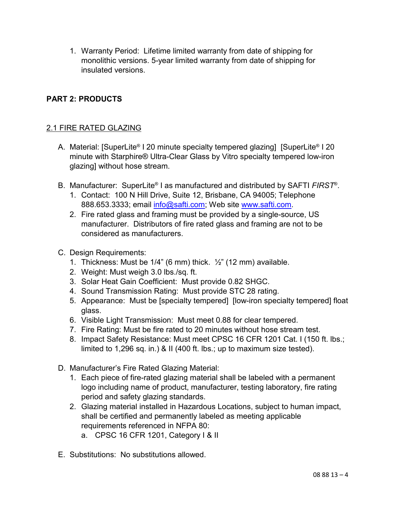1. Warranty Period: Lifetime limited warranty from date of shipping for monolithic versions. 5-year limited warranty from date of shipping for insulated versions.

# **PART 2: PRODUCTS**

# 2.1 FIRE RATED GLAZING

- A. Material: [SuperLite® I 20 minute specialty tempered glazing] [SuperLite® I 20 minute with Starphire® Ultra-Clear Glass by Vitro specialty tempered low-iron glazing] without hose stream.
- B. Manufacturer: SuperLite® I as manufactured and distributed by SAFTI *FIRST*®.
	- 1. Contact: 100 N Hill Drive, Suite 12, Brisbane, CA 94005; Telephone 888.653.3333; email [info@safti.com;](mailto:info@safti.com) Web site [www.safti.com.](http://www.safti.com/)
	- 2. Fire rated glass and framing must be provided by a single-source, US manufacturer. Distributors of fire rated glass and framing are not to be considered as manufacturers.
- C. Design Requirements:
	- 1. Thickness: Must be  $1/4$ " (6 mm) thick.  $\frac{1}{2}$ " (12 mm) available.
	- 2. Weight: Must weigh 3.0 lbs./sq. ft.
	- 3. Solar Heat Gain Coefficient: Must provide 0.82 SHGC.
	- 4. Sound Transmission Rating: Must provide STC 28 rating.
	- 5. Appearance: Must be [specialty tempered] [low-iron specialty tempered] float glass.
	- 6. Visible Light Transmission: Must meet 0.88 for clear tempered.
	- 7. Fire Rating: Must be fire rated to 20 minutes without hose stream test.
	- 8. Impact Safety Resistance: Must meet CPSC 16 CFR 1201 Cat. I (150 ft. lbs.; limited to 1,296 sq. in.) & II (400 ft. lbs.; up to maximum size tested).
- D. Manufacturer's Fire Rated Glazing Material:
	- 1. Each piece of fire-rated glazing material shall be labeled with a permanent logo including name of product, manufacturer, testing laboratory, fire rating period and safety glazing standards.
	- 2. Glazing material installed in Hazardous Locations, subject to human impact, shall be certified and permanently labeled as meeting applicable requirements referenced in NFPA 80:
		- a. CPSC 16 CFR 1201, Category I & II
- E. Substitutions: No substitutions allowed.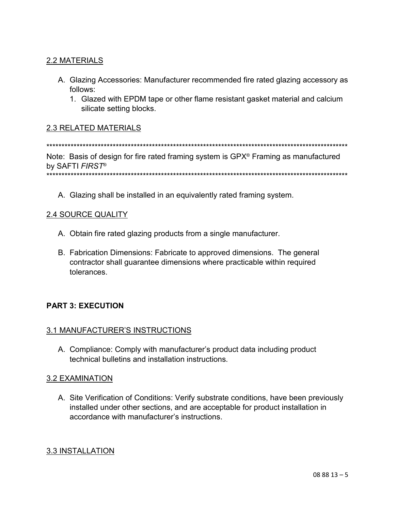# 2.2 MATERIALS

- A. Glazing Accessories: Manufacturer recommended fire rated glazing accessory as follows:
	- 1. Glazed with EPDM tape or other flame resistant gasket material and calcium silicate setting blocks.

# **2.3 RELATED MATERIALS**

Note: Basis of design for fire rated framing system is GPX<sup>®</sup> Framing as manufactured by SAFTI FIRST<sup>®</sup> 

A. Glazing shall be installed in an equivalently rated framing system.

#### **2.4 SOURCE QUALITY**

- A. Obtain fire rated glazing products from a single manufacturer.
- B. Fabrication Dimensions: Fabricate to approved dimensions. The general contractor shall guarantee dimensions where practicable within required tolerances.

# **PART 3: EXECUTION**

#### 3.1 MANUFACTURER'S INSTRUCTIONS

A. Compliance: Comply with manufacturer's product data including product technical bulletins and installation instructions.

# **3.2 EXAMINATION**

A. Site Verification of Conditions: Verify substrate conditions, have been previously installed under other sections, and are acceptable for product installation in accordance with manufacturer's instructions.

# 3.3 INSTALLATION